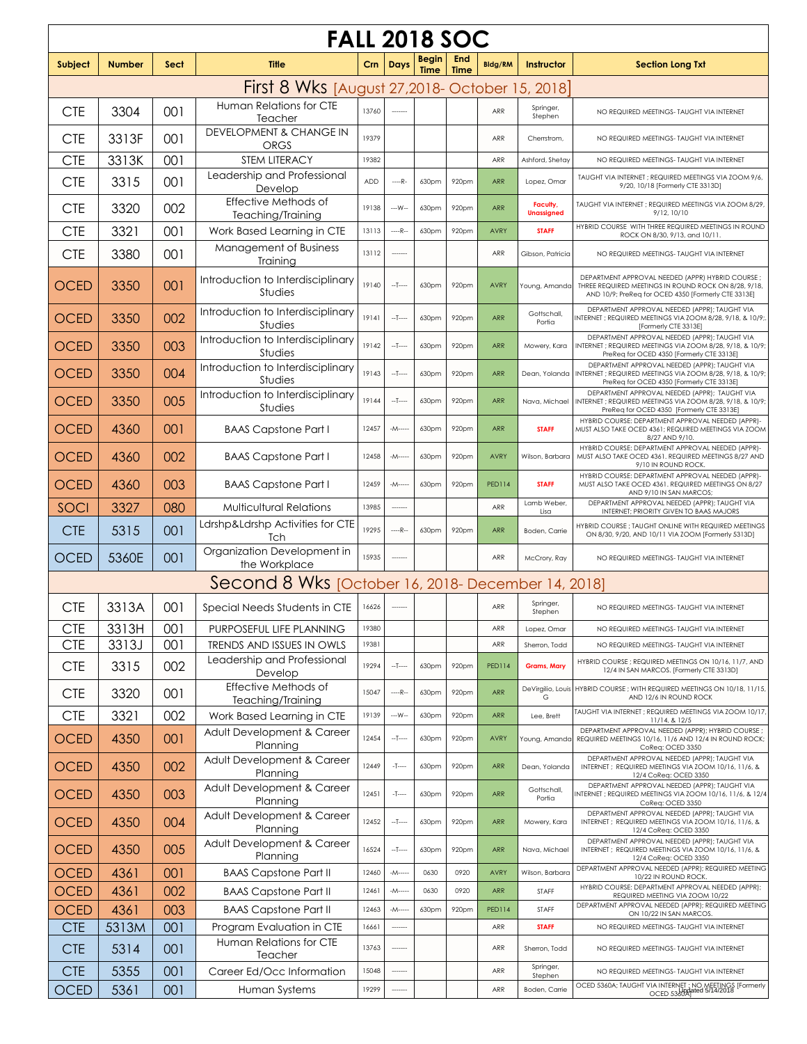| <b>FALL 2018 SOC</b>                              |               |      |                                                |       |             |                             |                    |                |                               |                                                                                                                                                                 |  |
|---------------------------------------------------|---------------|------|------------------------------------------------|-------|-------------|-----------------------------|--------------------|----------------|-------------------------------|-----------------------------------------------------------------------------------------------------------------------------------------------------------------|--|
| Subject                                           | <b>Number</b> | Sect | <b>Title</b>                                   | Crn   | <b>Days</b> | <b>Begin</b><br><b>Time</b> | End<br><b>Time</b> | <b>Bldg/RM</b> | Instructor                    | <b>Section Long Txt</b>                                                                                                                                         |  |
|                                                   |               |      | First 8 Wks [August 27,2018- October 15, 2018] |       |             |                             |                    |                |                               |                                                                                                                                                                 |  |
| <b>CTE</b>                                        | 3304          | 001  | Human Relations for CTE<br>Teacher             | 13760 |             |                             |                    | ARR            | Springer,<br>Stephen          | NO REQUIRED MEETINGS- TAUGHT VIA INTERNET                                                                                                                       |  |
| <b>CTE</b>                                        | 3313F         | 001  | DEVELOPMENT & CHANGE IN<br><b>ORGS</b>         | 19379 |             |                             |                    | ARR            | Cherrstrom,                   | NO REQUIRED MEETINGS- TAUGHT VIA INTERNET                                                                                                                       |  |
| <b>CTE</b>                                        | 3313K         | 001  | <b>STEM LITERACY</b>                           | 19382 |             |                             |                    | ARR            | Ashford, Shetay               | NO REQUIRED MEETINGS- TAUGHT VIA INTERNET                                                                                                                       |  |
| <b>CTE</b>                                        | 3315          | 001  | Leadership and Professional<br>Develop         | ADD   | $---R-$     | 630pm                       | 920pm              | <b>ARR</b>     | Lopez, Omar                   | TAUGHT VIA INTERNET ; REQUIRED MEETINGS VIA ZOOM 9/6,<br>9/20, 10/18 [Formerly CTE 3313D]                                                                       |  |
| <b>CTE</b>                                        | 3320          | 002  | Effective Methods of<br>Teaching/Training      | 19138 | $-W -$      | 630pm                       | 920pm              | <b>ARR</b>     | Faculty,<br><b>Unassigned</b> | TAUGHT VIA INTERNET ; REQUIRED MEETINGS VIA ZOOM 8/29,<br>9/12, 10/10                                                                                           |  |
| <b>CTE</b>                                        | 3321          | 001  | Work Based Learning in CTE                     | 13113 | $---R-$     | 630pm                       | 920pm              | <b>AVRY</b>    | <b>STAFF</b>                  | HYBRID COURSE WITH THREE REQUIRED MEETINGS IN ROUND<br>ROCK ON 8/30, 9/13, and 10/11                                                                            |  |
| <b>CTE</b>                                        | 3380          | 001  | Management of Business<br>Training             | 13112 |             |                             |                    | ARR            | Gibson, Patricia              | NO REQUIRED MEETINGS- TAUGHT VIA INTERNET                                                                                                                       |  |
| <b>OCED</b>                                       | 3350          | 001  | Introduction to Interdisciplinary<br>Studies   | 19140 | $-1$        | 630pm                       | 920pm              | <b>AVRY</b>    | Young, Amanda                 | DEPARTMENT APPROVAL NEEDED (APPR) HYBRID COURSE;<br>THREE REQUIRED MEETINGS IN ROUND ROCK ON 8/28, 9/18,<br>AND 10/9; PreReq for OCED 4350 [Formerly CTE 3313E] |  |
| <b>OCED</b>                                       | 3350          | 002  | Introduction to Interdisciplinary<br>Studies   | 19141 | $-1$        | 630pm                       | 920pm              | <b>ARR</b>     | Gottschall,<br>Portia         | DEPARTMENT APPROVAL NEEDED (APPR); TAUGHT VIA<br>NTERNET: REQUIRED MEETINGS VIA ZOOM 8/28, 9/18, & 10/9;<br>[Formerly CTE 3313E]                                |  |
| <b>OCED</b>                                       | 3350          | 003  | Introduction to Interdisciplinary<br>Studies   | 19142 | $-1$        | 630pm                       | 920pm              | <b>ARR</b>     | Mowery, Kara                  | DEPARTMENT APPROVAL NEEDED (APPR); TAUGHT VIA<br>INTERNET; REQUIRED MEETINGS VIA ZOOM 8/28, 9/18, & 10/9;<br>PreReq for OCED 4350 [Formerly CTE 3313E]          |  |
| <b>OCED</b>                                       | 3350          | 004  | Introduction to Interdisciplinary<br>Studies   | 19143 | $-1$        | 630pm                       | 920pm              | <b>ARR</b>     | Dean, Yolanda                 | DEPARTMENT APPROVAL NEEDED (APPR); TAUGHT VIA<br>INTERNET; REQUIRED MEETINGS VIA ZOOM 8/28, 9/18, & 10/9;<br>PreReq for OCED 4350 [Formerly CTE 3313E]          |  |
| <b>OCED</b>                                       | 3350          | 005  | Introduction to Interdisciplinary<br>Studies   | 19144 | $-1$        | 630pm                       | 920pm              | <b>ARR</b>     | Nava, Michael                 | DEPARTMENT APPROVAL NEEDED (APPR); TAUGHT VIA<br>INTERNET; REQUIRED MEETINGS VIA ZOOM 8/28, 9/18, & 10/9;<br>PreReq for OCED 4350 [Formerly CTE 3313E]          |  |
| <b>OCED</b>                                       | 4360          | 001  | <b>BAAS Capstone Part I</b>                    | 12457 | $-M--$      | 630pm                       | 920pm              | <b>ARR</b>     | <b>STAFF</b>                  | HYBRID COURSE: DEPARTMENT APPROVAL NEEDED (APPR)-<br>MUST ALSO TAKE OCED 4361; REQUIRED MEETINGS VIA ZOOM<br>8/27 AND 9/10.                                     |  |
| <b>OCED</b>                                       | 4360          | 002  | <b>BAAS Capstone Part I</b>                    | 12458 | $-M--$      | 630pm                       | 920pm              | <b>AVRY</b>    | Wilson, Barbara               | HYBRID COURSE: DEPARTMENT APPROVAL NEEDED (APPR)-<br>MUST ALSO TAKE OCED 4361. REQUIRED MEETINGS 8/27 AND<br>9/10 IN ROUND ROCK.                                |  |
| <b>OCED</b>                                       | 4360          | 003  | <b>BAAS Capstone Part I</b>                    | 12459 | $-M--$      | 630pm                       | 920pm              | <b>PED114</b>  | <b>STAFF</b>                  | HYBRID COURSE: DEPARTMENT APPROVAL NEEDED (APPR)-<br>MUST ALSO TAKE OCED 4361. REQUIRED MEETINGS ON 8/27<br>AND 9/10 IN SAN MARCOS;                             |  |
| SOCI                                              | 3327          | 080  | <b>Multicultural Relations</b>                 | 13985 | ------      |                             |                    | ARR            | Lamb Weber,<br>Lisa           | DEPARTMENT APPROVAL NEEDED (APPR); TAUGHT VIA<br>INTERNET; PRIORITY GIVEN TO BAAS MAJORS                                                                        |  |
| <b>CTE</b>                                        | 5315          | 001  | Ldrshp&Ldrshp Activities for CTE<br>Tch        | 19295 | $---R-$     | 630pm                       | 920pm              | <b>ARR</b>     | Boden, Carrie                 | HYBRID COURSE; TAUGHT ONLINE WITH REQUIRED MEETINGS<br>ON 8/30, 9/20, AND 10/11 VIA ZOOM [Formerly 5313D]                                                       |  |
| <b>OCED</b>                                       | 5360E         | 001  | Organization Development in<br>the Workplace   | 15935 | -------     |                             |                    | ARR            | McCrory, Ray                  | NO REQUIRED MEETINGS- TAUGHT VIA INTERNET                                                                                                                       |  |
| Second 8 Wks [October 16, 2018-December 14, 2018] |               |      |                                                |       |             |                             |                    |                |                               |                                                                                                                                                                 |  |
| <b>CTE</b>                                        | 3313A         | 001  | Special Needs Students in CTE 16626            |       |             |                             |                    | ARR            | Springer,<br>Stephen          | NO REQUIRED MEETINGS- TAUGHT VIA INTERNET                                                                                                                       |  |
| <b>CTE</b>                                        | 3313H         | 001  | PURPOSEFUL LIFE PLANNING                       | 19380 |             |                             |                    | ARR            | Lopez, Omar                   | NO REQUIRED MEETINGS- TAUGHT VIA INTERNET                                                                                                                       |  |
| <b>CTE</b>                                        | 3313J         | 001  | TRENDS AND ISSUES IN OWLS                      | 19381 |             |                             |                    | ARR            | Sherron, Todd                 | NO REQUIRED MEETINGS- TAUGHT VIA INTERNET                                                                                                                       |  |
| <b>CTE</b>                                        | 3315          | 002  | Leadership and Professional<br>Develop         | 19294 | $-1$        | 630pm                       | 920pm              | <b>PED114</b>  | <b>Grams, Mary</b>            | HYBRID COURSE: REQUIRED MEETINGS ON 10/16, 11/7, AND<br>12/4 IN SAN MARCOS. [Formerly CTE 3313D]                                                                |  |
| <b>CTE</b>                                        | 3320          | 001  | Effective Methods of<br>Teaching/Training      | 15047 | $---R-$     | 630pm                       | 920pm              | ARR            | DeVirgilio, Louis<br>G        | HYBRID COURSE; WITH REQUIRED MEETINGS ON 10/18, 11/15,<br>AND 12/6 IN ROUND ROCK                                                                                |  |
| <b>CTE</b>                                        | 3321          | 002  | Work Based Learning in CTE                     | 19139 | $-W-$       | 630pm                       | 920pm              | <b>ARR</b>     | Lee, Brett                    | <b>IAUGHT VIA INTERNET ; REQUIRED MEETINGS VIA ZOOM 10/17,</b><br>11/14, & 12/5                                                                                 |  |
| <b>OCED</b>                                       | 4350          | 001  | Adult Development & Career<br>Planning         | 12454 | $-1$        | 630pm                       | 920pm              | <b>AVRY</b>    | Young, Amanda                 | DEPARTMENT APPROVAL NEEDED (APPR); HYBRID COURSE ;<br>REQUIRED MEETINGS 10/16, 11/6 AND 12/4 IN ROUND ROCK;<br>CoReq: OCED 3350                                 |  |
| <b>OCED</b>                                       | 4350          | 002  | Adult Development & Career<br>Planning         | 12449 | $-T$        | 630pm                       | 920pm              | <b>ARR</b>     | Dean, Yolanda                 | DEPARTMENT APPROVAL NEEDED (APPR); TAUGHT VIA<br>INTERNET ; REQUIRED MEETINGS VIA ZOOM 10/16, 11/6, &<br>12/4 CoReg: OCED 3350                                  |  |
| <b>OCED</b>                                       | 4350          | 003  | Adult Development & Career<br>Planning         | 12451 | $-T$        | 630pm                       | 920pm              | ARR            | Gottschall,<br>Portia         | DEPARTMENT APPROVAL NEEDED (APPR); TAUGHT VIA<br>INTERNET ; REQUIRED MEETINGS VIA ZOOM 10/16, 11/6, & 12/4<br>CoReq: OCED 3350                                  |  |
| <b>OCED</b>                                       | 4350          | 004  | Adult Development & Career<br>Planning         | 12452 | $-1$        | 630pm                       | 920pm              | <b>ARR</b>     | Mowery, Kara                  | DEPARTMENT APPROVAL NEEDED (APPR); TAUGHT VIA<br>INTERNET ; REQUIRED MEETINGS VIA ZOOM 10/16, 11/6, &<br>12/4 CoReq: OCED 3350                                  |  |
| <b>OCED</b>                                       | 4350          | 005  | Adult Development & Career<br>Planning         | 16524 | $-1$        | 630pm                       | 920pm              | <b>ARR</b>     | Nava, Michael                 | DEPARTMENT APPROVAL NEEDED (APPR); TAUGHT VIA<br>INTERNET ; REQUIRED MEETINGS VIA ZOOM 10/16, 11/6, &<br>12/4 CoReq: OCED 3350                                  |  |
| <b>OCED</b>                                       | 4361          | 001  | <b>BAAS Capstone Part II</b>                   | 12460 | $-M--$      | 0630                        | 0920               | <b>AVRY</b>    | Wilson, Barbara               | DEPARTMENT APPROVAL NEEDED (APPR); REQUIRED MEETING<br>10/22 IN ROUND ROCK.                                                                                     |  |
| <b>OCED</b>                                       | 4361          | 002  | <b>BAAS Capstone Part II</b>                   | 12461 | $-M-$       | 0630                        | 0920               | ARR            | STAFF                         | HYBRID COURSE: DEPARTMENT APPROVAL NEEDED (APPR);<br>REQUIRED MEETING VIA ZOOM 10/22                                                                            |  |
| <b>OCED</b>                                       | 4361          | 003  | <b>BAAS Capstone Part II</b>                   | 12463 | $-M -$      | 630pm                       | 920pm              | <b>PED114</b>  | STAFF                         | DEPARTMENT APPROVAL NEEDED (APPR); REQUIRED MEETING<br>ON 10/22 IN SAN MARCOS.                                                                                  |  |
| <b>CTE</b>                                        | 5313M         | 001  | Program Evaluation in CTE                      | 16661 | ------      |                             |                    | ARR            | <b>STAFF</b>                  | NO REQUIRED MEETINGS- TAUGHT VIA INTERNET                                                                                                                       |  |
| <b>CTE</b>                                        | 5314          | 001  | Human Relations for CTE<br>Teacher             | 13763 | -----       |                             |                    | ARR            | Sherron, Todd                 | NO REQUIRED MEETINGS- TAUGHT VIA INTERNET                                                                                                                       |  |
| <b>CTE</b>                                        | 5355          | 001  | Career Ed/Occ Information                      | 15048 |             |                             |                    | ARR            | Springer,<br>Stephen          | NO REQUIRED MEETINGS- TAUGHT VIA INTERNET                                                                                                                       |  |
| <b>OCED</b>                                       | 5361          | 001  | Human Systems                                  | 19299 | ------      |                             |                    | ARR            | Boden, Carrie                 | OCED 5360A; TAUGHT VIA INTERNET; NO MEETINGS [Formerly<br>OCED 5360A]                                                                                           |  |